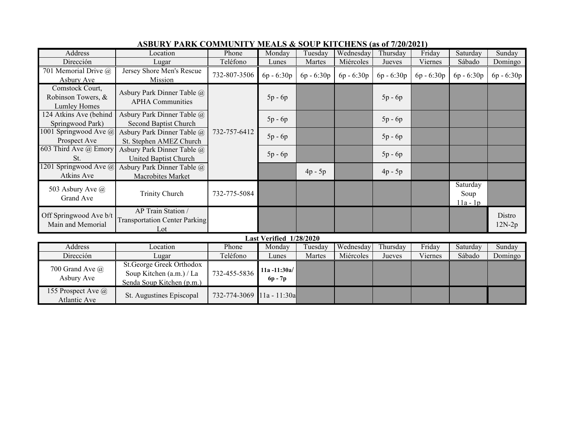| <b>Address</b>                                          | Location                                                                          | Phone        | Monday                       | Tuesday      | Wednesday    | Thursday     | Friday     | Saturday                       | Sunday             |  |  |
|---------------------------------------------------------|-----------------------------------------------------------------------------------|--------------|------------------------------|--------------|--------------|--------------|------------|--------------------------------|--------------------|--|--|
| Dirección                                               | Lugar                                                                             | Teléfono     | Lunes                        | Martes       | Miércoles    | Jueves       | Viernes    | Sábado                         | Domingo            |  |  |
| 701 Memorial Drive @<br>Asbury Ave                      | Jersey Shore Men's Rescue<br>Mission                                              | 732-807-3506 | 6p - 6:30p                   | $6p - 6:30p$ | $6p - 6:30p$ | $6p - 6:30p$ | 6p - 6:30p | 6p - 6:30p                     | $6p - 6:30p$       |  |  |
| Comstock Court,<br>Robinson Towers, &<br>Lumley Homes   | Asbury Park Dinner Table @<br><b>APHA Communities</b>                             | 732-757-6412 | $5p - 6p$                    |              |              | $5p - 6p$    |            |                                |                    |  |  |
| 124 Atkins Ave (behind<br>Springwood Park)              | Asbury Park Dinner Table @<br>Second Baptist Church                               |              | $5p - 6p$                    |              |              | $5p - 6p$    |            |                                |                    |  |  |
| 1001 Springwood Ave @<br>Prospect Ave                   | Asbury Park Dinner Table @<br>St. Stephen AMEZ Church                             |              | $5p - 6p$                    |              |              | $5p - 6p$    |            |                                |                    |  |  |
| 603 Third Ave @ Emory<br>St.                            | Asbury Park Dinner Table @<br>United Baptist Church                               |              | $5p - 6p$                    |              |              | $5p - 6p$    |            |                                |                    |  |  |
| $\overline{1201}$ Springwood Ave $\omega$<br>Atkins Ave | Asbury Park Dinner Table @<br>Macrobites Market                                   |              |                              | $4p - 5p$    |              | $4p - 5p$    |            |                                |                    |  |  |
| 503 Asbury Ave @<br>Grand Ave                           | <b>Trinity Church</b>                                                             | 732-775-5084 |                              |              |              |              |            | Saturday<br>Soup<br>$11a - 1p$ |                    |  |  |
| Off Springwood Ave b/t<br>Main and Memorial             | AP Train Station /<br><b>Transportation Center Parking</b><br>$tot$               |              |                              |              |              |              |            |                                | Distro<br>$12N-2p$ |  |  |
| Last Verified 1/28/2020                                 |                                                                                   |              |                              |              |              |              |            |                                |                    |  |  |
| Address                                                 | Location                                                                          | Phone        | Monday                       | Tuesday      | Wednesday    | Thursday     | Friday     | Saturday                       | Sunday             |  |  |
| Dirección                                               | Lugar                                                                             | Teléfono     | Lunes                        | Martes       | Miércoles    | Jueves       | Viernes    | Sábado                         | Domingo            |  |  |
| 700 Grand Ave @<br>Asbury Ave                           | St.George Greek Orthodox<br>Soup Kitchen (a.m.) / La<br>Senda Soup Kitchen (p.m.) | 732-455-5836 | $11a - 11:30a/$<br>$6p - 7p$ |              |              |              |            |                                |                    |  |  |
| 155 Prospect Ave @<br>Atlantic Ave                      | St. Augustines Episcopal                                                          | 732-774-3069 | 11a - 11:30a                 |              |              |              |            |                                |                    |  |  |

## **ASBURY PARK COMMUNITY MEALS & SOUP KITCHENS (as of 7/20/2021)**